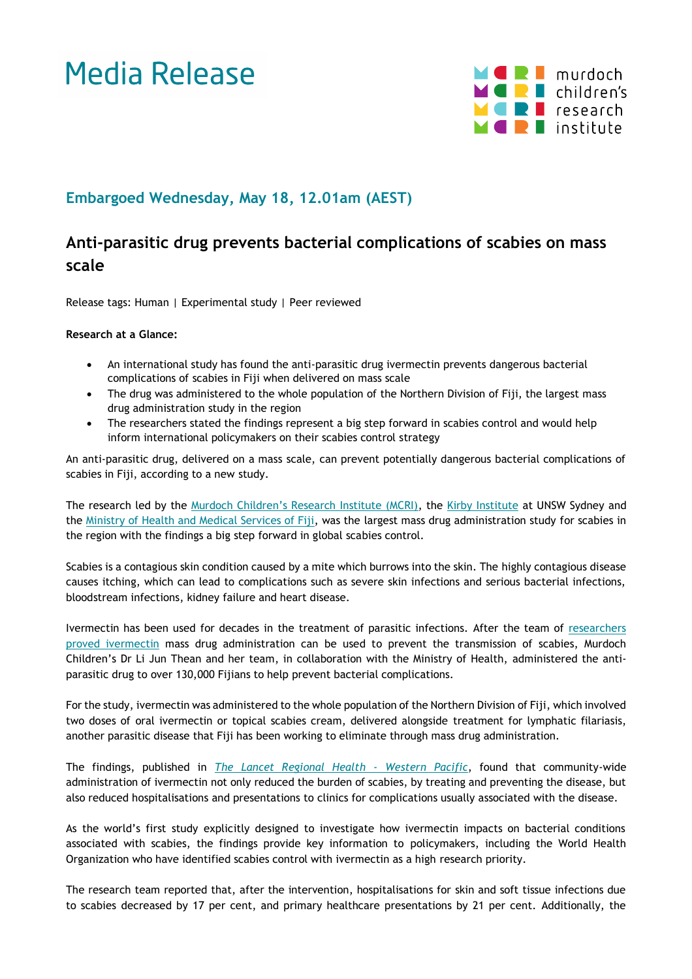# Media Release



### **Embargoed Wednesday, May 18, 12.01am (AEST)**

## **Anti-parasitic drug prevents bacterial complications of scabies on mass scale**

Release tags: Human | Experimental study | Peer reviewed

#### **Research at a Glance:**

- An international study has found the anti-parasitic drug ivermectin prevents dangerous bacterial complications of scabies in Fiji when delivered on mass scale
- The drug was administered to the whole population of the Northern Division of Fiji, the largest mass drug administration study in the region
- The researchers stated the findings represent a big step forward in scabies control and would help inform international policymakers on their scabies control strategy

An anti-parasitic drug, delivered on a mass scale, can prevent potentially dangerous bacterial complications of scabies in Fiji, according to a new study.

The research led by the [Murdoch Children's Research Institute \(MCRI\)](https://www.mcri.edu.au/), the [Kirby Institute](https://kirby.unsw.edu.au/) at UNSW Sydney and the Ministry of Health [and Medical Services of Fiji,](https://www.health.gov.fj/) was the largest mass drug administration study for scabies in the region with the findings a big step forward in global scabies control.

Scabies is a contagious skin condition caused by a mite which burrows into the skin. The highly contagious disease causes itching, which can lead to complications such as severe skin infections and serious bacterial infections, bloodstream infections, kidney failure and heart disease.

Ivermectin has been used for decades in the treatment of parasitic infections. After the team of [researchers](https://www.mcri.edu.au/media/11211)  [proved ivermectin](https://www.mcri.edu.au/media/11211) mass drug administration can be used to prevent the transmission of scabies, Murdoch Children's Dr Li Jun Thean and her team, in collaboration with the Ministry of Health, administered the antiparasitic drug to over 130,000 Fijians to help prevent bacterial complications.

For the study, ivermectin was administered to the whole population of the Northern Division of Fiji, which involved two doses of oral ivermectin or topical scabies cream, delivered alongside treatment for lymphatic filariasis, another parasitic disease that Fiji has been working to eliminate through mass drug administration.

The findings, published in *[The Lancet Regional Health -](https://www.thelancet.com/journals/lanwpc/home) Western Pacific*, found that community-wide administration of ivermectin not only reduced the burden of scabies, by treating and preventing the disease, but also reduced hospitalisations and presentations to clinics for complications usually associated with the disease.

As the world's first study explicitly designed to investigate how ivermectin impacts on bacterial conditions associated with scabies, the findings provide key information to policymakers, including the World Health Organization who have identified scabies control with ivermectin as a high research priority.

The research team reported that, after the intervention, hospitalisations for skin and soft tissue infections due to scabies decreased by 17 per cent, and primary healthcare presentations by 21 per cent. Additionally, the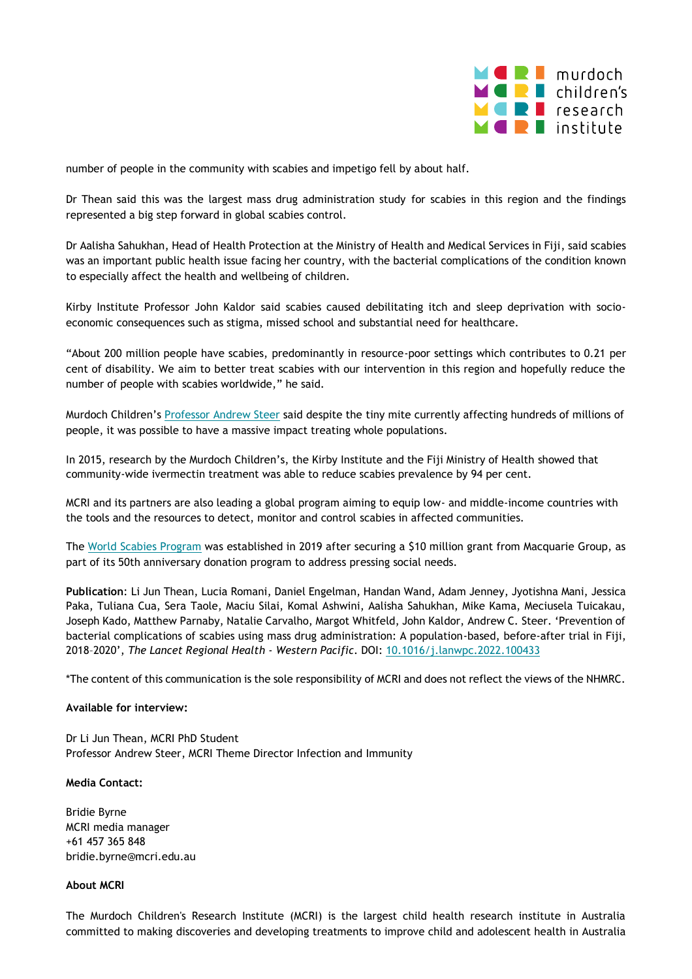

number of people in the community with scabies and impetigo fell by about half.

Dr Thean said this was the largest mass drug administration study for scabies in this region and the findings represented a big step forward in global scabies control.

Dr Aalisha Sahukhan, Head of Health Protection at the Ministry of Health and Medical Services in Fiji, said scabies was an important public health issue facing her country, with the bacterial complications of the condition known to especially affect the health and wellbeing of children.

Kirby Institute Professor John Kaldor said scabies caused debilitating itch and sleep deprivation with socioeconomic consequences such as stigma, missed school and substantial need for healthcare.

"About 200 million people have scabies, predominantly in resource-poor settings which contributes to 0.21 per cent of disability. We aim to better treat scabies with our intervention in this region and hopefully reduce the number of people with scabies worldwide," he said.

Murdoch Children's [Professor Andrew Steer](https://www.mcri.edu.au/users/andrew-steer) said despite the tiny mite currently affecting hundreds of millions of people, it was possible to have a massive impact treating whole populations.

In 2015, research by the Murdoch Children's, the Kirby Institute and the Fiji Ministry of Health showed that community-wide ivermectin treatment was able to reduce scabies prevalence by 94 per cent.

MCRI and its partners are also leading a global program aiming to equip low- and middle-income countries with the tools and the resources to detect, monitor and control scabies in affected communities.

The [World Scabies Program](https://www.worldscabiesprogram.org/) was established in 2019 after securing a \$10 million grant from Macquarie Group, as part of its 50th anniversary donation program to address pressing social needs.

**Publication**: Li Jun Thean, Lucia Romani, Daniel Engelman, Handan Wand, Adam Jenney, Jyotishna Mani, Jessica Paka, Tuliana Cua, Sera Taole, Maciu Silai, Komal Ashwini, Aalisha Sahukhan, Mike Kama, Meciusela Tuicakau, Joseph Kado, Matthew Parnaby, Natalie Carvalho, Margot Whitfeld, John Kaldor, Andrew C. Steer. 'Prevention of bacterial complications of scabies using mass drug administration: A population-based, before-after trial in Fiji, 2018–2020', *The Lancet Regional Health - Western Pacific*. DOI[: 10.1016/j.lanwpc.2022.100433](https://www.sciencedirect.com/science/article/pii/S2666606522000487)

\*The content of this communication is the sole responsibility of MCRI and does not reflect the views of the NHMRC.

#### **Available for interview:**

Dr Li Jun Thean, MCRI PhD Student Professor Andrew Steer, MCRI Theme Director Infection and Immunity

#### **Media Contact:**

Bridie Byrne MCRI media manager +61 457 365 848 bridie.byrne@mcri.edu.au

#### **About MCRI**

The Murdoch Children's Research Institute (MCRI) is the largest child health research institute in Australia committed to making discoveries and developing treatments to improve child and adolescent health in Australia